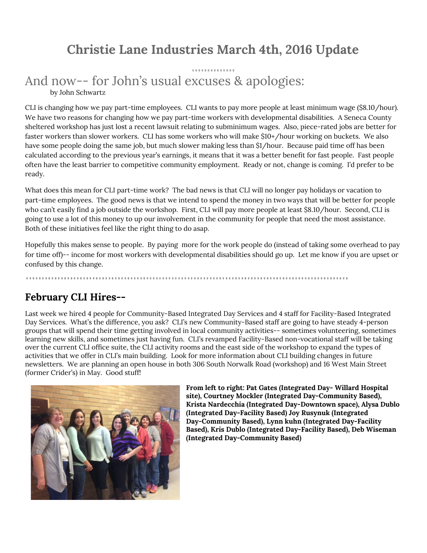# **Christie Lane Industries March 4th, 2016 Update**

### And now-- for John's usual excuses & apologies: by John Schwartz

CLI is changing how we pay part-time employees. CLI wants to pay more people at least minimum wage (\$8.10/hour). We have two reasons for changing how we pay part-time workers with developmental disabilities. A Seneca County sheltered workshop has just lost a recent lawsuit relating to subminimum wages. Also, piece-rated jobs are better for faster workers than slower workers. CLI has some workers who will make \$10+/hour working on buckets. We also have some people doing the same job, but much slower making less than \$1/hour. Because paid time off has been calculated according to the previous year's earnings, it means that it was a better benefit for fast people. Fast people often have the least barrier to competitive community employment. Ready or not, change is coming. I'd prefer to be ready.

What does this mean for CLI part-time work? The bad news is that CLI will no longer pay holidays or vacation to part-time employees. The good news is that we intend to spend the money in two ways that will be better for people who can't easily find a job outside the workshop. First, CLI will pay more people at least \$8.10/hour. Second, CLI is going to use a lot of this money to up our involvement in the community for people that need the most assistance. Both of these initiatives feel like the right thing to do asap.

Hopefully this makes sense to people. By paying more for the work people do (instead of taking some overhead to pay for time off)-- income for most workers with developmental disabilities should go up. Let me know if you are upset or confused by this change.

#### **February CLI Hires--**

Last week we hired 4 people for Community-Based Integrated Day Services and 4 staff for Facility-Based Integrated Day Services. What's the difference, you ask? CLI's new Community-Based staff are going to have steady 4-person groups that will spend their time getting involved in local community activities-- sometimes volunteering, sometimes learning new skills, and sometimes just having fun. CLI's revamped Facility-Based non-vocational staff will be taking over the current CLI office suite, the CLI activity rooms and the east side of the workshop to expand the types of activities that we offer in CLI's main building. Look for more information about CLI building changes in future newsletters. We are planning an open house in both 306 South Norwalk Road (workshop) and 16 West Main Street (former Crider's) in May. Good stuff!



**From left to right: Pat Gates (Integrated Day- Willard Hospital site), Courtney Mockler (Integrated Day-Community Based), Krista Nardecchia (Integrated Day-Downtown space), Alysa Dublo (Integrated Day-Facility Based) Joy Rusynuk (Integrated Day-Community Based), Lynn kuhn (Integrated Day-Facility Based), Kris Dublo (Integrated Day-Facility Based), Deb Wiseman (Integrated Day-Community Based)**